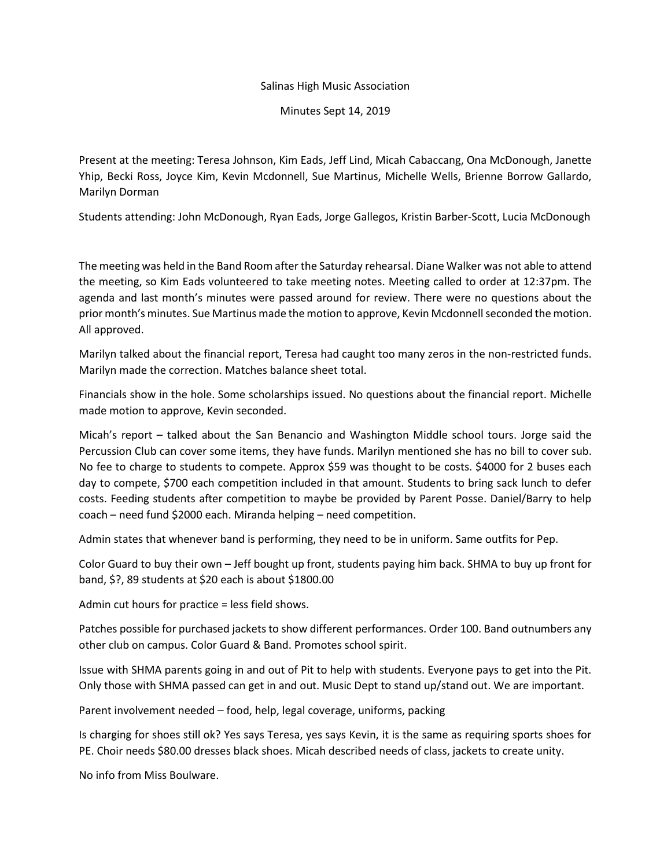## Salinas High Music Association

Minutes Sept 14, 2019

Present at the meeting: Teresa Johnson, Kim Eads, Jeff Lind, Micah Cabaccang, Ona McDonough, Janette Yhip, Becki Ross, Joyce Kim, Kevin Mcdonnell, Sue Martinus, Michelle Wells, Brienne Borrow Gallardo, Marilyn Dorman

Students attending: John McDonough, Ryan Eads, Jorge Gallegos, Kristin Barber-Scott, Lucia McDonough

The meeting was held in the Band Room after the Saturday rehearsal. Diane Walker was not able to attend the meeting, so Kim Eads volunteered to take meeting notes. Meeting called to order at 12:37pm. The agenda and last month's minutes were passed around for review. There were no questions about the prior month's minutes. Sue Martinus made the motion to approve, Kevin Mcdonnell seconded the motion. All approved.

Marilyn talked about the financial report, Teresa had caught too many zeros in the non-restricted funds. Marilyn made the correction. Matches balance sheet total.

Financials show in the hole. Some scholarships issued. No questions about the financial report. Michelle made motion to approve, Kevin seconded.

Micah's report – talked about the San Benancio and Washington Middle school tours. Jorge said the Percussion Club can cover some items, they have funds. Marilyn mentioned she has no bill to cover sub. No fee to charge to students to compete. Approx \$59 was thought to be costs. \$4000 for 2 buses each day to compete, \$700 each competition included in that amount. Students to bring sack lunch to defer costs. Feeding students after competition to maybe be provided by Parent Posse. Daniel/Barry to help coach – need fund \$2000 each. Miranda helping – need competition.

Admin states that whenever band is performing, they need to be in uniform. Same outfits for Pep.

Color Guard to buy their own – Jeff bought up front, students paying him back. SHMA to buy up front for band, \$?, 89 students at \$20 each is about \$1800.00

Admin cut hours for practice = less field shows.

Patches possible for purchased jackets to show different performances. Order 100. Band outnumbers any other club on campus. Color Guard & Band. Promotes school spirit.

Issue with SHMA parents going in and out of Pit to help with students. Everyone pays to get into the Pit. Only those with SHMA passed can get in and out. Music Dept to stand up/stand out. We are important.

Parent involvement needed – food, help, legal coverage, uniforms, packing

Is charging for shoes still ok? Yes says Teresa, yes says Kevin, it is the same as requiring sports shoes for PE. Choir needs \$80.00 dresses black shoes. Micah described needs of class, jackets to create unity.

No info from Miss Boulware.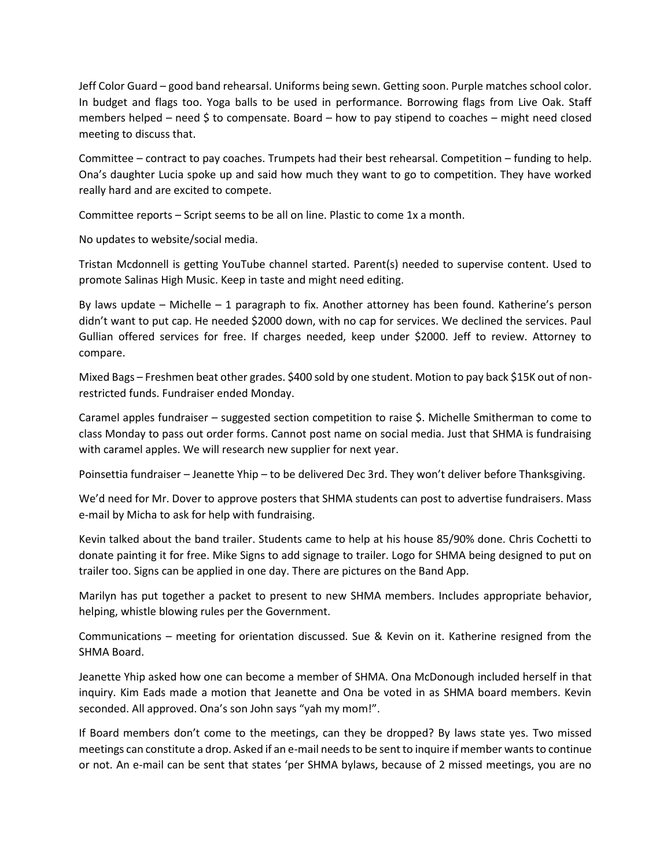Jeff Color Guard – good band rehearsal. Uniforms being sewn. Getting soon. Purple matches school color. In budget and flags too. Yoga balls to be used in performance. Borrowing flags from Live Oak. Staff members helped – need  $\frac{1}{5}$  to compensate. Board – how to pay stipend to coaches – might need closed meeting to discuss that.

Committee – contract to pay coaches. Trumpets had their best rehearsal. Competition – funding to help. Ona's daughter Lucia spoke up and said how much they want to go to competition. They have worked really hard and are excited to compete.

Committee reports – Script seems to be all on line. Plastic to come 1x a month.

No updates to website/social media.

Tristan Mcdonnell is getting YouTube channel started. Parent(s) needed to supervise content. Used to promote Salinas High Music. Keep in taste and might need editing.

By laws update – Michelle – 1 paragraph to fix. Another attorney has been found. Katherine's person didn't want to put cap. He needed \$2000 down, with no cap for services. We declined the services. Paul Gullian offered services for free. If charges needed, keep under \$2000. Jeff to review. Attorney to compare.

Mixed Bags – Freshmen beat other grades. \$400 sold by one student. Motion to pay back \$15K out of nonrestricted funds. Fundraiser ended Monday.

Caramel apples fundraiser – suggested section competition to raise \$. Michelle Smitherman to come to class Monday to pass out order forms. Cannot post name on social media. Just that SHMA is fundraising with caramel apples. We will research new supplier for next year.

Poinsettia fundraiser – Jeanette Yhip – to be delivered Dec 3rd. They won't deliver before Thanksgiving.

We'd need for Mr. Dover to approve posters that SHMA students can post to advertise fundraisers. Mass e-mail by Micha to ask for help with fundraising.

Kevin talked about the band trailer. Students came to help at his house 85/90% done. Chris Cochetti to donate painting it for free. Mike Signs to add signage to trailer. Logo for SHMA being designed to put on trailer too. Signs can be applied in one day. There are pictures on the Band App.

Marilyn has put together a packet to present to new SHMA members. Includes appropriate behavior, helping, whistle blowing rules per the Government.

Communications – meeting for orientation discussed. Sue & Kevin on it. Katherine resigned from the SHMA Board.

Jeanette Yhip asked how one can become a member of SHMA. Ona McDonough included herself in that inquiry. Kim Eads made a motion that Jeanette and Ona be voted in as SHMA board members. Kevin seconded. All approved. Ona's son John says "yah my mom!".

If Board members don't come to the meetings, can they be dropped? By laws state yes. Two missed meetings can constitute a drop. Asked if an e-mail needs to be sent to inquire if member wants to continue or not. An e-mail can be sent that states 'per SHMA bylaws, because of 2 missed meetings, you are no